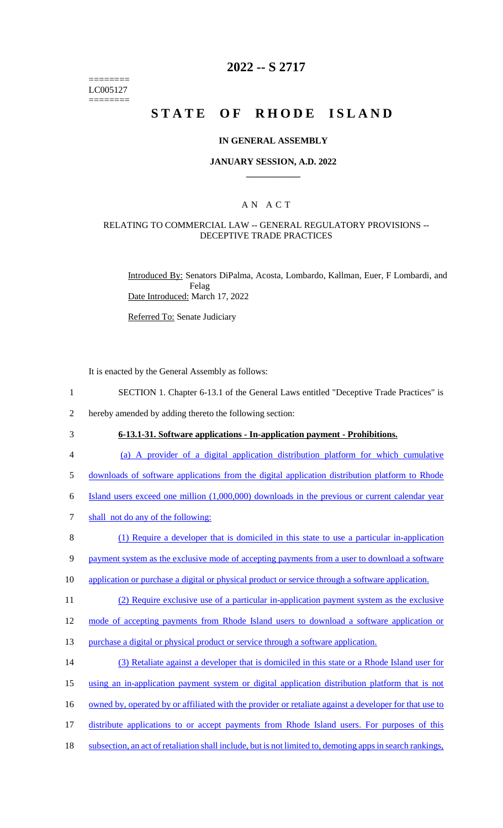======== LC005127 ========

### **2022 -- S 2717**

# **STATE OF RHODE ISLAND**

#### **IN GENERAL ASSEMBLY**

#### **JANUARY SESSION, A.D. 2022 \_\_\_\_\_\_\_\_\_\_\_\_**

### A N A C T

#### RELATING TO COMMERCIAL LAW -- GENERAL REGULATORY PROVISIONS -- DECEPTIVE TRADE PRACTICES

Introduced By: Senators DiPalma, Acosta, Lombardo, Kallman, Euer, F Lombardi, and Felag Date Introduced: March 17, 2022

Referred To: Senate Judiciary

It is enacted by the General Assembly as follows:

1 SECTION 1. Chapter 6-13.1 of the General Laws entitled "Deceptive Trade Practices" is

2 hereby amended by adding thereto the following section:

## 3 **6-13.1-31. Software applications - In-application payment - Prohibitions.**

4 (a) A provider of a digital application distribution platform for which cumulative

5 downloads of software applications from the digital application distribution platform to Rhode

6 Island users exceed one million (1,000,000) downloads in the previous or current calendar year

7 shall not do any of the following:

8 (1) Require a developer that is domiciled in this state to use a particular in-application

9 payment system as the exclusive mode of accepting payments from a user to download a software

10 application or purchase a digital or physical product or service through a software application.

11 (2) Require exclusive use of a particular in-application payment system as the exclusive

12 mode of accepting payments from Rhode Island users to download a software application or

- 13 purchase a digital or physical product or service through a software application.
- 14 (3) Retaliate against a developer that is domiciled in this state or a Rhode Island user for

15 using an in-application payment system or digital application distribution platform that is not

- 16 owned by, operated by or affiliated with the provider or retaliate against a developer for that use to
- 17 distribute applications to or accept payments from Rhode Island users. For purposes of this
- 18 subsection, an act of retaliation shall include, but is not limited to, demoting apps in search rankings,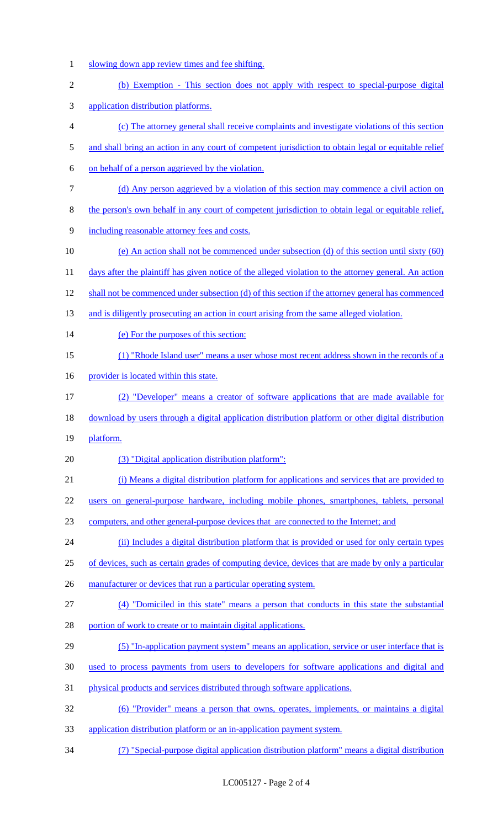- 1 slowing down app review times and fee shifting.
- (b) Exemption This section does not apply with respect to special-purpose digital
- application distribution platforms.
- (c) The attorney general shall receive complaints and investigate violations of this section
- 5 and shall bring an action in any court of competent jurisdiction to obtain legal or equitable relief
- on behalf of a person aggrieved by the violation.
- (d) Any person aggrieved by a violation of this section may commence a civil action on
- the person's own behalf in any court of competent jurisdiction to obtain legal or equitable relief,
- including reasonable attorney fees and costs.
- (e) An action shall not be commenced under subsection (d) of this section until sixty (60)
- 11 days after the plaintiff has given notice of the alleged violation to the attorney general. An action
- shall not be commenced under subsection (d) of this section if the attorney general has commenced
- 13 and is diligently prosecuting an action in court arising from the same alleged violation.
- 14 (e) For the purposes of this section:
- (1) "Rhode Island user" means a user whose most recent address shown in the records of a
- 16 provider is located within this state.
- (2) "Developer" means a creator of software applications that are made available for
- download by users through a digital application distribution platform or other digital distribution
- platform.
- (3) "Digital application distribution platform":
- (i) Means a digital distribution platform for applications and services that are provided to
- users on general-purpose hardware, including mobile phones, smartphones, tablets, personal
- computers, and other general-purpose devices that are connected to the Internet; and
- (ii) Includes a digital distribution platform that is provided or used for only certain types
- of devices, such as certain grades of computing device, devices that are made by only a particular
- 26 manufacturer or devices that run a particular operating system.
- (4) "Domiciled in this state" means a person that conducts in this state the substantial
- 28 portion of work to create or to maintain digital applications.
- (5) "In-application payment system" means an application, service or user interface that is
- used to process payments from users to developers for software applications and digital and
- physical products and services distributed through software applications.
- (6) "Provider" means a person that owns, operates, implements, or maintains a digital
- application distribution platform or an in-application payment system.
- (7) "Special-purpose digital application distribution platform" means a digital distribution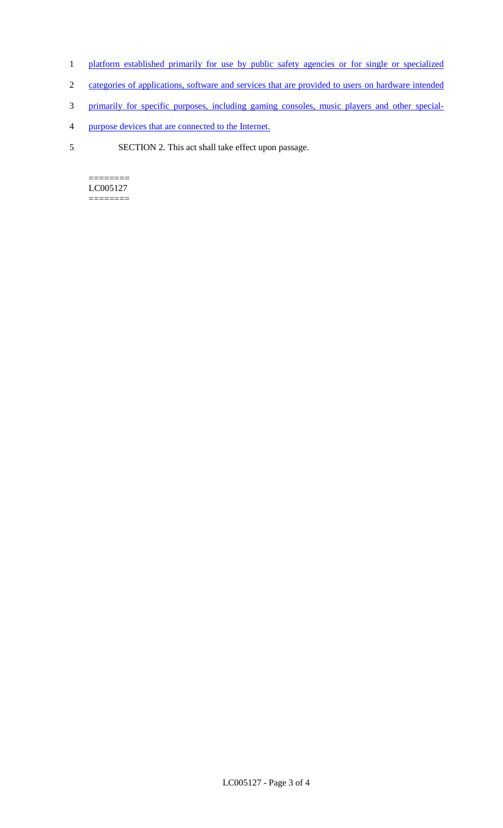- 1 platform established primarily for use by public safety agencies or for single or specialized
- 2 categories of applications, software and services that are provided to users on hardware intended
- 3 primarily for specific purposes, including gaming consoles, music players and other special-
- 4 purpose devices that are connected to the Internet.
- 5 SECTION 2. This act shall take effect upon passage.

 $=$ LC005127 ========